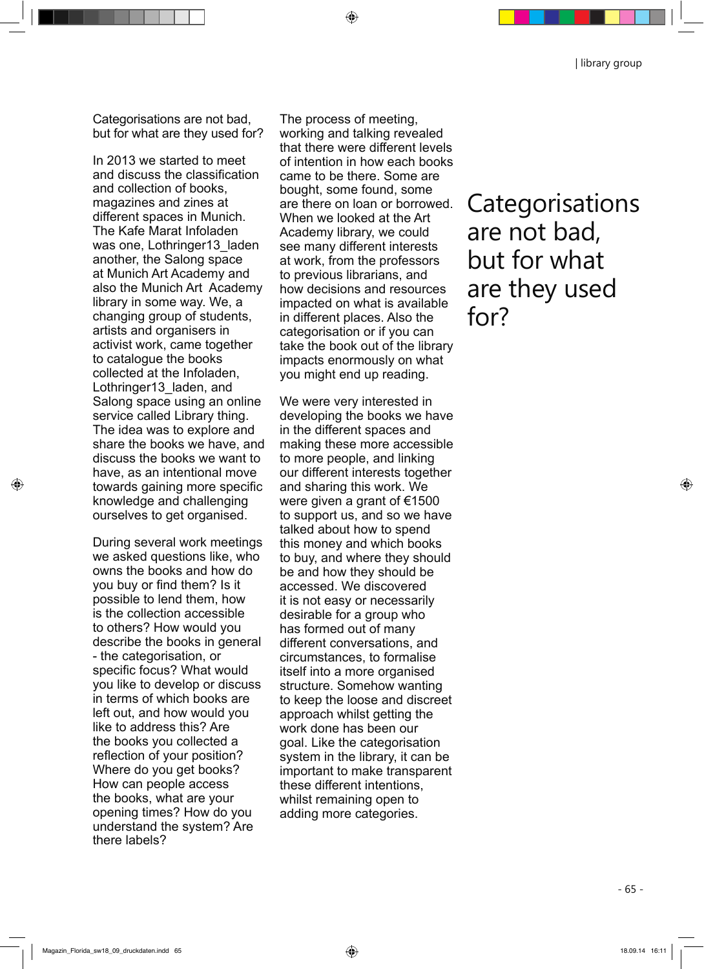| library group

Categorisations are not bad, but for what are they used for?

In 2013 we started to meet and discuss the classification and collection of books, magazines and zines at different spaces in Munich. The Kafe Marat Infoladen was one, Lothringer13 laden another, the Salong space at Munich Art Academy and also the Munich Art Academy library in some way. We, a changing group of students, artists and organisers in activist work, came together to catalogue the books collected at the Infoladen, Lothringer13\_laden, and Salong space using an online service called Library thing. The idea was to explore and share the books we have, and discuss the books we want to have, as an intentional move towards gaining more specific knowledge and challenging ourselves to get organised.

During several work meetings we asked questions like, who owns the books and how do you buy or find them? Is it possible to lend them, how is the collection accessible to others? How would you describe the books in general - the categorisation, or specific focus? What would you like to develop or discuss in terms of which books are left out, and how would you like to address this? Are the books you collected a reflection of your position? Where do you get books? How can people access the books, what are your opening times? How do you understand the system? Are there labels?

The process of meeting, working and talking revealed that there were different levels of intention in how each books came to be there. Some are bought, some found, some are there on loan or borrowed. When we looked at the Art Academy library, we could see many different interests at work, from the professors to previous librarians, and how decisions and resources impacted on what is available in different places. Also the categorisation or if you can take the book out of the library impacts enormously on what you might end up reading.

⊕

We were very interested in developing the books we have in the different spaces and making these more accessible to more people, and linking our different interests together and sharing this work. We were given a grant of €1500 to support us, and so we have talked about how to spend this money and which books to buy, and where they should be and how they should be accessed. We discovered it is not easy or necessarily desirable for a group who has formed out of many different conversations, and circumstances, to formalise itself into a more organised structure. Somehow wanting to keep the loose and discreet approach whilst getting the work done has been our goal. Like the categorisation system in the library, it can be important to make transparent these different intentions, whilst remaining open to adding more categories.

Categorisations are not bad, but for what are they used for?

◈

◈